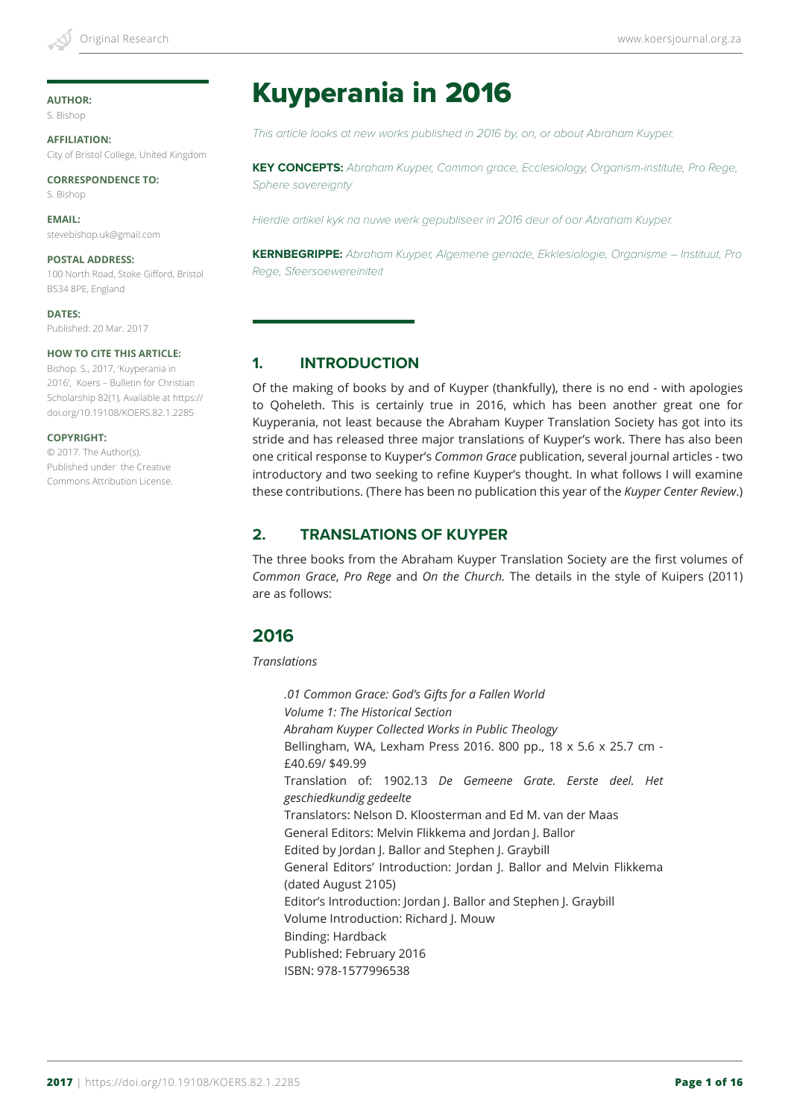# **AUTHOR:**

S. Bishop

**AFFILIATION:** City of Bristol College, United Kingdom

**CORRESPONDENCE TO:** S. Bishop

**EMAIL:** [stevebishop.uk@gmail.com](mailto:stevebishop.uk@gmail.com)

# **POSTAL ADDRESS:**

100 North Road, Stoke Gifford, Bristol BS34 8PE, England

**DATES:** Published: 20 Mar. 2017

#### **HOW TO CITE THIS ARTICLE:**

Bishop. S., 2017, 'Kuyperania in 2016', Koers – Bulletin for Christian Scholarship 82(1), Available at https:// doi.org/10.19108/KOERS.82.1.2285

#### **COPYRIGHT:**

© 2017. The Author(s). Published under the Creative Commons Attribution License.

# Kuyperania in 2016

*This article looks at new works published in 2016 by, on, or about Abraham Kuyper.*

**KEY CONCEPTS:** *Abraham Kuyper, Common grace, Ecclesiology, Organism-institute, Pro Rege, Sphere sovereignty*

*Hierdie artikel kyk na nuwe werk gepubliseer in 2016 deur of oor Abraham Kuyper.*

**KERNBEGRIPPE:** *Abraham Kuyper, Algemene genade, Ekklesiologie, Organisme – Instituut, Pro Rege, Sfeersoewereiniteit*

#### **1. INTRODUCTION**

Of the making of books by and of Kuyper (thankfully), there is no end - with apologies to Qoheleth. This is certainly true in 2016, which has been another great one for Kuyperania, not least because the Abraham Kuyper Translation Society has got into its stride and has released three major translations of Kuyper's work. There has also been one critical response to Kuyper's *Common Grace* publication, several journal articles - two introductory and two seeking to refine Kuyper's thought. In what follows I will examine these contributions. (There has been no publication this year of the *Kuyper Center Review*.)

### **2. TRANSLATIONS OF KUYPER**

The three books from the Abraham Kuyper Translation Society are the first volumes of *Common Grace*, *Pro Rege* and *On the Church.* The details in the style of Kuipers (2011) are as follows:

# **2016**

*Translations*

*.01 Common Grace: God's Gifts for a Fallen World Volume 1: The Historical Section Abraham Kuyper Collected Works in Public Theology* Bellingham, WA, Lexham Press 2016. 800 pp., 18 x 5.6 x 25.7 cm - £40.69/ \$49.99 Translation of: 1902.13 *De Gemeene Grate. Eerste deel. Het geschiedkundig gedeelte* Translators: Nelson D. Kloosterman and Ed M. van der Maas General Editors: Melvin Flikkema and Jordan J. Ballor Edited by Jordan J. Ballor and Stephen J. Graybill General Editors' Introduction: Jordan J. Ballor and Melvin Flikkema (dated August 2105) Editor's Introduction: Jordan J. Ballor and Stephen J. Graybill Volume Introduction: Richard J. Mouw Binding: Hardback Published: February 2016 ISBN: 978-1577996538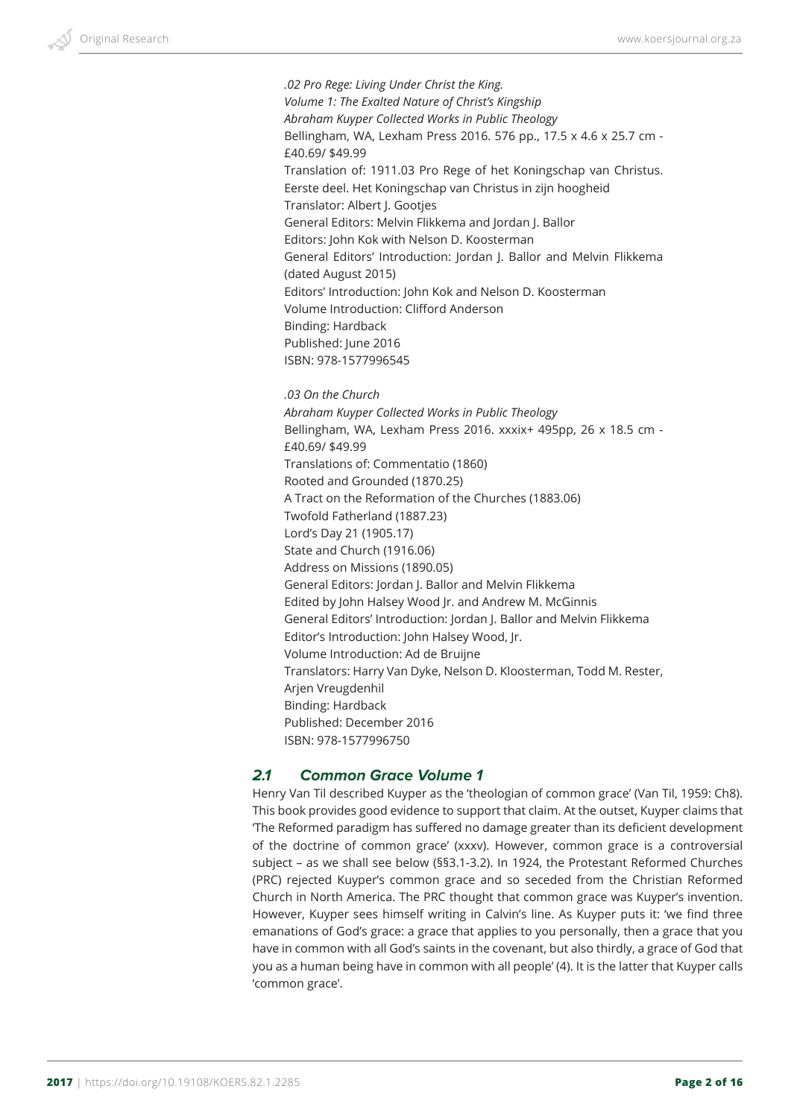*.02 Pro Rege: Living Under Christ the King. Volume 1: The Exalted Nature of Christ's Kingship Abraham Kuyper Collected Works in Public Theology* Bellingham, WA, Lexham Press 2016. 576 pp., 17.5 x 4.6 x 25.7 cm - £40.69/ \$49.99 Translation of: 1911.03 Pro Rege of het Koningschap van Christus. Eerste deel. Het Koningschap van Christus in zijn hoogheid Translator: Albert J. Gootjes General Editors: Melvin Flikkema and Jordan J. Ballor Editors: John Kok with Nelson D. Koosterman General Editors' Introduction: Jordan J. Ballor and Melvin Flikkema (dated August 2015) Editors' Introduction: John Kok and Nelson D. Koosterman Volume Introduction: Clifford Anderson Binding: Hardback Published: June 2016 ISBN: 978-1577996545

#### *.03 On the Church*

*Abraham Kuyper Collected Works in Public Theology* Bellingham, WA, Lexham Press 2016. xxxix+ 495pp, 26 x 18.5 cm - £40.69/ \$49.99 Translations of: Commentatio (1860) Rooted and Grounded (1870.25) A Tract on the Reformation of the Churches (1883.06) Twofold Fatherland (1887.23) Lord's Day 21 (1905.17) State and Church (1916.06) Address on Missions (1890.05) General Editors: Jordan J. Ballor and Melvin Flikkema Edited by John Halsey Wood Jr. and Andrew M. McGinnis General Editors' Introduction: Jordan J. Ballor and Melvin Flikkema Editor's Introduction: John Halsey Wood, Jr. Volume Introduction: Ad de Bruijne Translators: Harry Van Dyke, Nelson D. Kloosterman, Todd M. Rester, Arjen Vreugdenhil Binding: Hardback Published: December 2016 ISBN: 978-1577996750

#### *2.1 Common Grace Volume 1*

Henry Van Til described Kuyper as the 'theologian of common grace' (Van Til, 1959: Ch8). This book provides good evidence to support that claim. At the outset, Kuyper claims that 'The Reformed paradigm has suffered no damage greater than its deficient development of the doctrine of common grace' (xxxv). However, common grace is a controversial subject – as we shall see below (§§3.1-3.2). In 1924, the Protestant Reformed Churches (PRC) rejected Kuyper's common grace and so seceded from the Christian Reformed Church in North America. The PRC thought that common grace was Kuyper's invention. However, Kuyper sees himself writing in Calvin's line. As Kuyper puts it: 'we find three emanations of God's grace: a grace that applies to you personally, then a grace that you have in common with all God's saints in the covenant, but also thirdly, a grace of God that you as a human being have in common with all people' (4). It is the latter that Kuyper calls 'common grace'.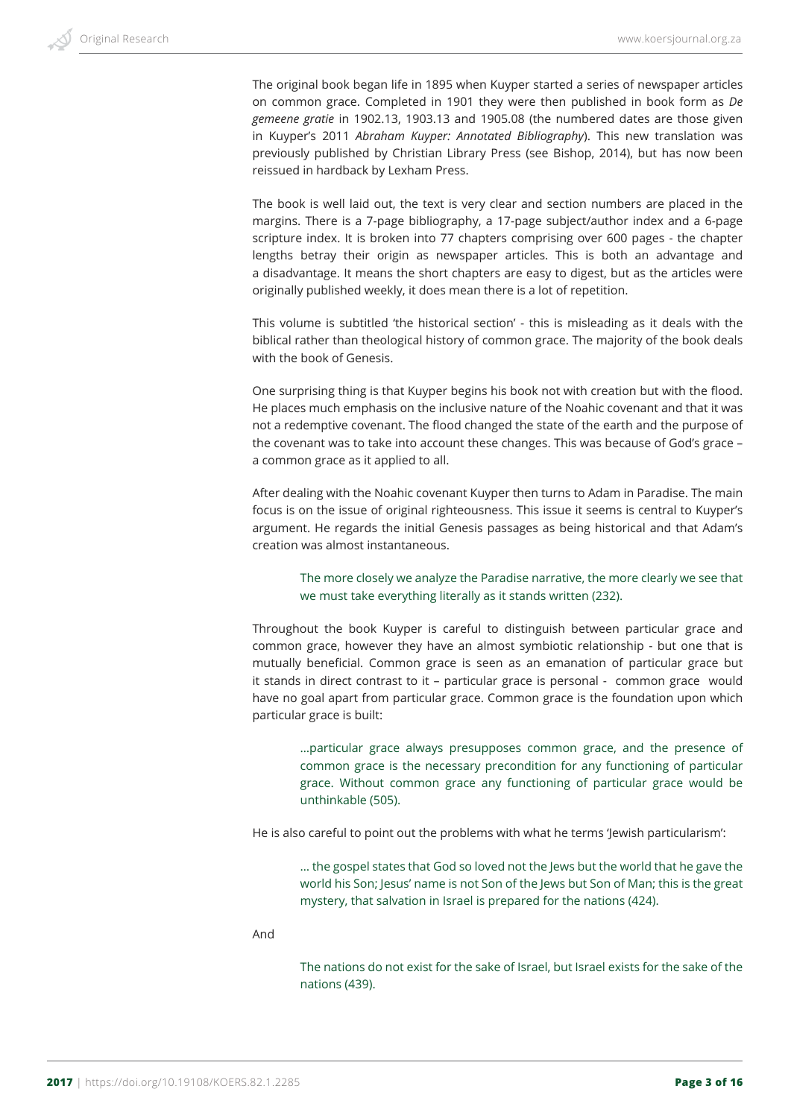The original book began life in 1895 when Kuyper started a series of newspaper articles on common grace. Completed in 1901 they were then published in book form as *De gemeene gratie* in 1902.13, 1903.13 and 1905.08 (the numbered dates are those given in Kuyper's 2011 *Abraham Kuyper: Annotated Bibliography*). This new translation was previously published by Christian Library Press (see Bishop, 2014), but has now been reissued in hardback by Lexham Press.

The book is well laid out, the text is very clear and section numbers are placed in the margins. There is a 7-page bibliography, a 17-page subject/author index and a 6-page scripture index. It is broken into 77 chapters comprising over 600 pages - the chapter lengths betray their origin as newspaper articles. This is both an advantage and a disadvantage. It means the short chapters are easy to digest, but as the articles were originally published weekly, it does mean there is a lot of repetition.

This volume is subtitled 'the historical section' - this is misleading as it deals with the biblical rather than theological history of common grace. The majority of the book deals with the book of Genesis.

One surprising thing is that Kuyper begins his book not with creation but with the flood. He places much emphasis on the inclusive nature of the Noahic covenant and that it was not a redemptive covenant. The flood changed the state of the earth and the purpose of the covenant was to take into account these changes. This was because of God's grace – a common grace as it applied to all.

After dealing with the Noahic covenant Kuyper then turns to Adam in Paradise. The main focus is on the issue of original righteousness. This issue it seems is central to Kuyper's argument. He regards the initial Genesis passages as being historical and that Adam's creation was almost instantaneous.

The more closely we analyze the Paradise narrative, the more clearly we see that we must take everything literally as it stands written (232).

Throughout the book Kuyper is careful to distinguish between particular grace and common grace, however they have an almost symbiotic relationship - but one that is mutually beneficial. Common grace is seen as an emanation of particular grace but it stands in direct contrast to it – particular grace is personal - common grace would have no goal apart from particular grace. Common grace is the foundation upon which particular grace is built:

…particular grace always presupposes common grace, and the presence of common grace is the necessary precondition for any functioning of particular grace. Without common grace any functioning of particular grace would be unthinkable (505).

He is also careful to point out the problems with what he terms 'Jewish particularism':

… the gospel states that God so loved not the Jews but the world that he gave the world his Son; Jesus' name is not Son of the Jews but Son of Man; this is the great mystery, that salvation in Israel is prepared for the nations (424).

#### And

The nations do not exist for the sake of Israel, but Israel exists for the sake of the nations (439).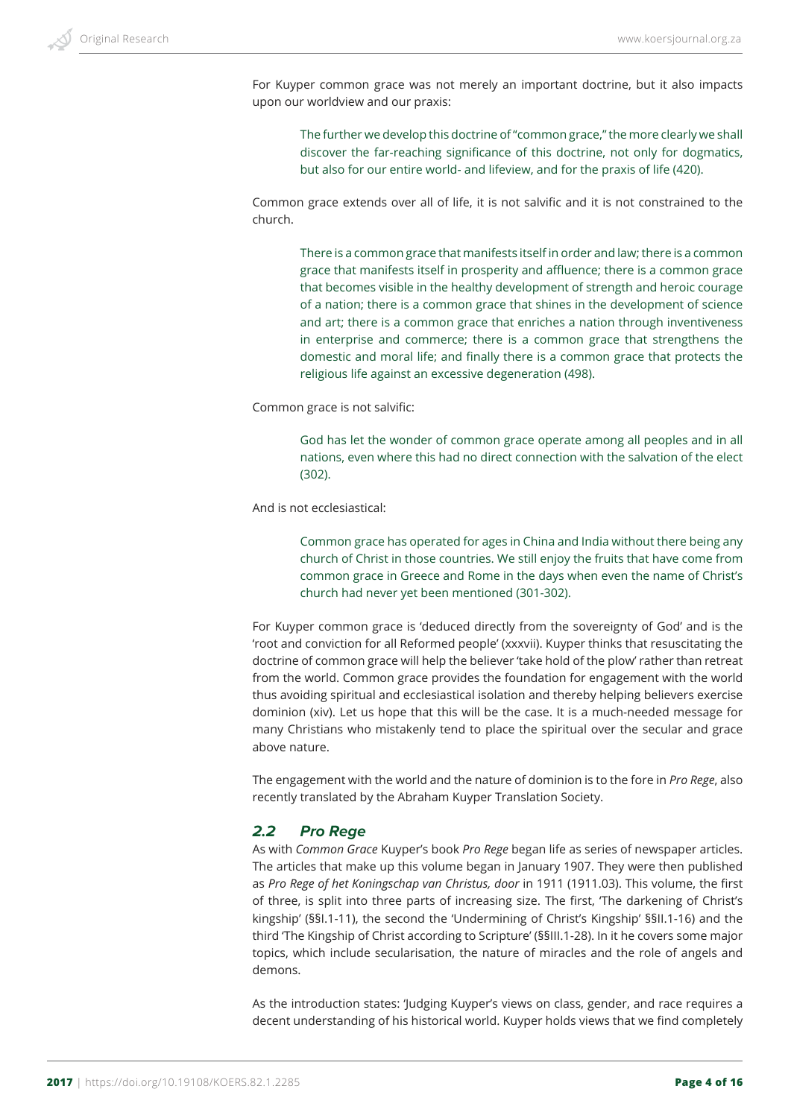For Kuyper common grace was not merely an important doctrine, but it also impacts upon our worldview and our praxis:

> The further we develop this doctrine of "common grace," the more clearly we shall discover the far-reaching significance of this doctrine, not only for dogmatics, but also for our entire world- and lifeview, and for the praxis of life (420).

Common grace extends over all of life, it is not salvific and it is not constrained to the church.

There is a common grace that manifests itself in order and law; there is a common grace that manifests itself in prosperity and affluence; there is a common grace that becomes visible in the healthy development of strength and heroic courage of a nation; there is a common grace that shines in the development of science and art; there is a common grace that enriches a nation through inventiveness in enterprise and commerce; there is a common grace that strengthens the domestic and moral life; and finally there is a common grace that protects the religious life against an excessive degeneration (498).

Common grace is not salvific:

God has let the wonder of common grace operate among all peoples and in all nations, even where this had no direct connection with the salvation of the elect (302).

And is not ecclesiastical:

Common grace has operated for ages in China and India without there being any church of Christ in those countries. We still enjoy the fruits that have come from common grace in Greece and Rome in the days when even the name of Christ's church had never yet been mentioned (301-302).

For Kuyper common grace is 'deduced directly from the sovereignty of God' and is the 'root and conviction for all Reformed people' (xxxvii). Kuyper thinks that resuscitating the doctrine of common grace will help the believer 'take hold of the plow' rather than retreat from the world. Common grace provides the foundation for engagement with the world thus avoiding spiritual and ecclesiastical isolation and thereby helping believers exercise dominion (xiv). Let us hope that this will be the case. It is a much-needed message for many Christians who mistakenly tend to place the spiritual over the secular and grace above nature.

The engagement with the world and the nature of dominion is to the fore in *Pro Rege*, also recently translated by the Abraham Kuyper Translation Society.

#### *2.2 Pro Rege*

As with *Common Grace* Kuyper's book *Pro Rege* began life as series of newspaper articles. The articles that make up this volume began in January 1907. They were then published as *Pro Rege of het Koningschap van Christus, door* in 1911 (1911.03). This volume, the first of three, is split into three parts of increasing size. The first, 'The darkening of Christ's kingship' (§§I.1-11), the second the 'Undermining of Christ's Kingship' §§II.1-16) and the third 'The Kingship of Christ according to Scripture' (§§III.1-28). In it he covers some major topics, which include secularisation, the nature of miracles and the role of angels and demons.

As the introduction states: 'Judging Kuyper's views on class, gender, and race requires a decent understanding of his historical world. Kuyper holds views that we find completely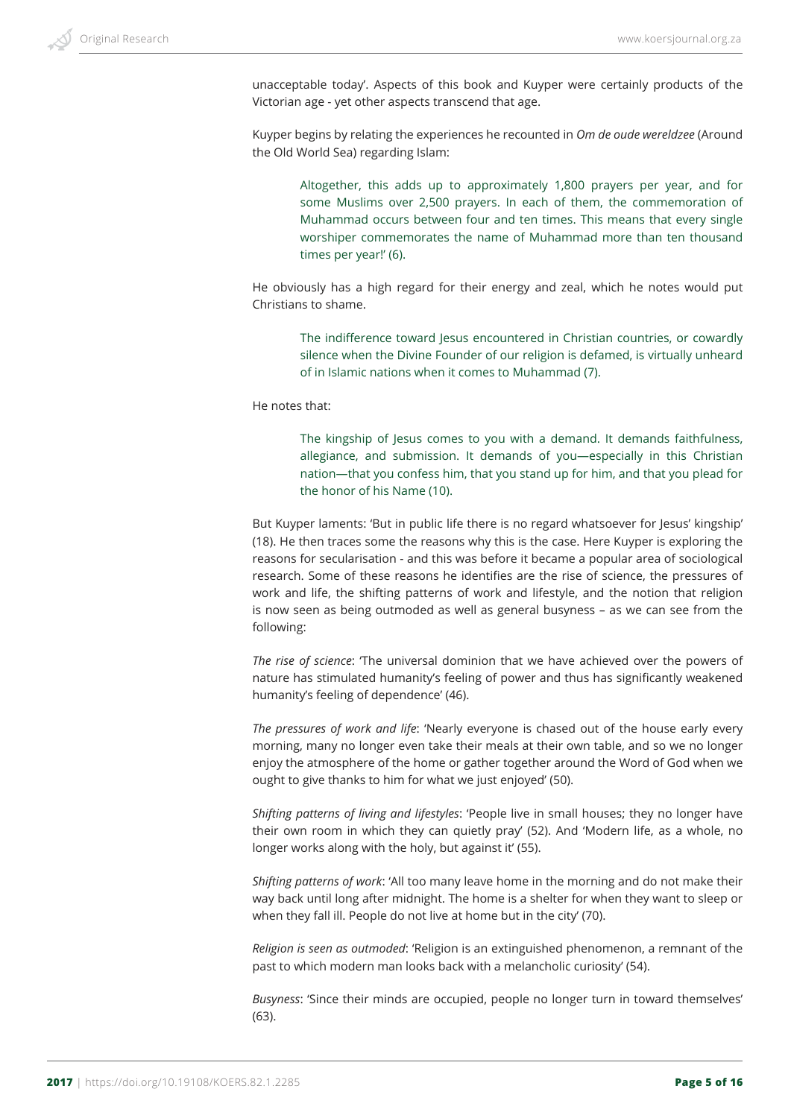unacceptable today'. Aspects of this book and Kuyper were certainly products of the Victorian age - yet other aspects transcend that age.

Kuyper begins by relating the experiences he recounted in *Om de oude wereldzee* (Around the Old World Sea) regarding Islam:

Altogether, this adds up to approximately 1,800 prayers per year, and for some Muslims over 2,500 prayers. In each of them, the commemoration of Muhammad occurs between four and ten times. This means that every single worshiper commemorates the name of Muhammad more than ten thousand times per year!' (6).

He obviously has a high regard for their energy and zeal, which he notes would put Christians to shame.

The indifference toward Jesus encountered in Christian countries, or cowardly silence when the Divine Founder of our religion is defamed, is virtually unheard of in Islamic nations when it comes to Muhammad (7).

He notes that:

The kingship of Jesus comes to you with a demand. It demands faithfulness, allegiance, and submission. It demands of you—especially in this Christian nation—that you confess him, that you stand up for him, and that you plead for the honor of his Name (10).

But Kuyper laments: 'But in public life there is no regard whatsoever for Jesus' kingship' (18). He then traces some the reasons why this is the case. Here Kuyper is exploring the reasons for secularisation - and this was before it became a popular area of sociological research. Some of these reasons he identifies are the rise of science, the pressures of work and life, the shifting patterns of work and lifestyle, and the notion that religion is now seen as being outmoded as well as general busyness – as we can see from the following:

*The rise of science*: 'The universal dominion that we have achieved over the powers of nature has stimulated humanity's feeling of power and thus has significantly weakened humanity's feeling of dependence' (46).

*The pressures of work and life*: 'Nearly everyone is chased out of the house early every morning, many no longer even take their meals at their own table, and so we no longer enjoy the atmosphere of the home or gather together around the Word of God when we ought to give thanks to him for what we just enjoyed' (50).

*Shifting patterns of living and lifestyles*: 'People live in small houses; they no longer have their own room in which they can quietly pray' (52). And 'Modern life, as a whole, no longer works along with the holy, but against it' (55).

*Shifting patterns of work*: 'All too many leave home in the morning and do not make their way back until long after midnight. The home is a shelter for when they want to sleep or when they fall ill. People do not live at home but in the city' (70).

*Religion is seen as outmoded*: 'Religion is an extinguished phenomenon, a remnant of the past to which modern man looks back with a melancholic curiosity' (54).

*Busyness*: 'Since their minds are occupied, people no longer turn in toward themselves' (63).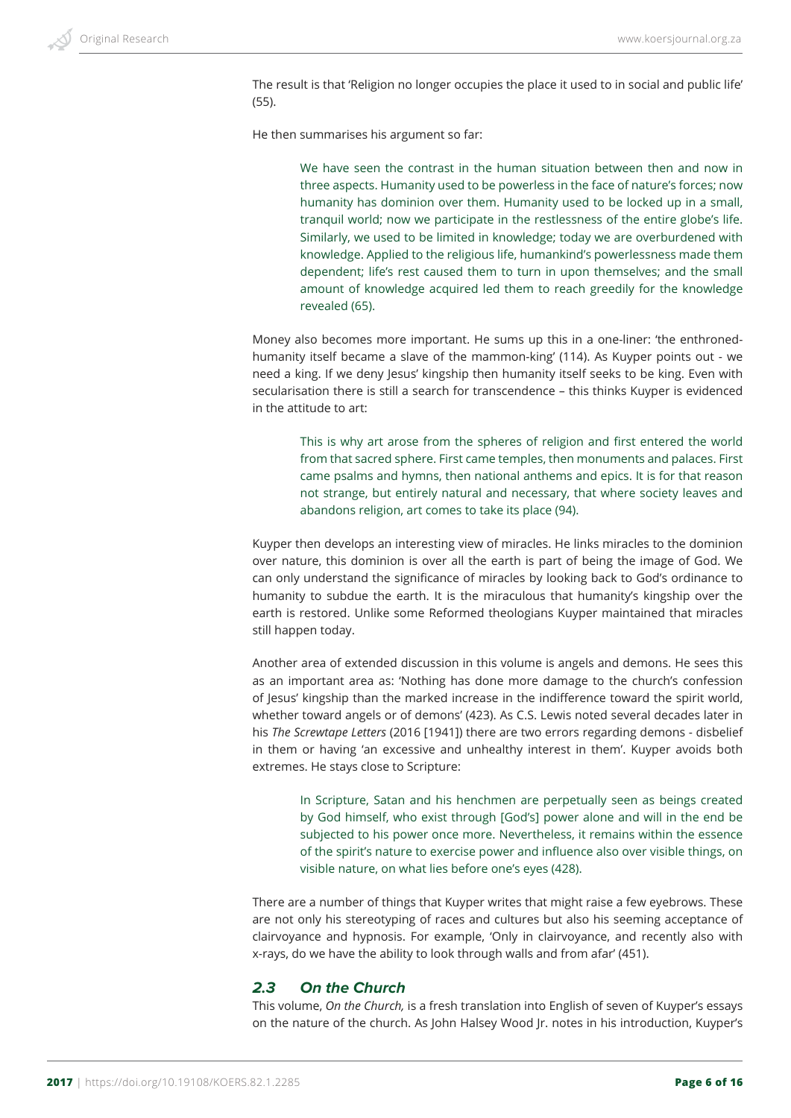The result is that 'Religion no longer occupies the place it used to in social and public life' (55).

He then summarises his argument so far:

We have seen the contrast in the human situation between then and now in three aspects. Humanity used to be powerless in the face of nature's forces; now humanity has dominion over them. Humanity used to be locked up in a small, tranquil world; now we participate in the restlessness of the entire globe's life. Similarly, we used to be limited in knowledge; today we are overburdened with knowledge. Applied to the religious life, humankind's powerlessness made them dependent; life's rest caused them to turn in upon themselves; and the small amount of knowledge acquired led them to reach greedily for the knowledge revealed (65).

Money also becomes more important. He sums up this in a one-liner: 'the enthronedhumanity itself became a slave of the mammon-king' (114). As Kuyper points out - we need a king. If we deny Jesus' kingship then humanity itself seeks to be king. Even with secularisation there is still a search for transcendence – this thinks Kuyper is evidenced in the attitude to art:

This is why art arose from the spheres of religion and first entered the world from that sacred sphere. First came temples, then monuments and palaces. First came psalms and hymns, then national anthems and epics. It is for that reason not strange, but entirely natural and necessary, that where society leaves and abandons religion, art comes to take its place (94).

Kuyper then develops an interesting view of miracles. He links miracles to the dominion over nature, this dominion is over all the earth is part of being the image of God. We can only understand the significance of miracles by looking back to God's ordinance to humanity to subdue the earth. It is the miraculous that humanity's kingship over the earth is restored. Unlike some Reformed theologians Kuyper maintained that miracles still happen today.

Another area of extended discussion in this volume is angels and demons. He sees this as an important area as: 'Nothing has done more damage to the church's confession of Jesus' kingship than the marked increase in the indifference toward the spirit world, whether toward angels or of demons' (423). As C.S. Lewis noted several decades later in his *The Screwtape Letters* (2016 [1941]) there are two errors regarding demons - disbelief in them or having 'an excessive and unhealthy interest in them'. Kuyper avoids both extremes. He stays close to Scripture:

In Scripture, Satan and his henchmen are perpetually seen as beings created by God himself, who exist through [God's] power alone and will in the end be subjected to his power once more. Nevertheless, it remains within the essence of the spirit's nature to exercise power and influence also over visible things, on visible nature, on what lies before one's eyes (428).

There are a number of things that Kuyper writes that might raise a few eyebrows. These are not only his stereotyping of races and cultures but also his seeming acceptance of clairvoyance and hypnosis. For example, 'Only in clairvoyance, and recently also with x-rays, do we have the ability to look through walls and from afar' (451).

#### *2.3 On the Church*

This volume, *On the Church,* is a fresh translation into English of seven of Kuyper's essays on the nature of the church. As John Halsey Wood Jr. notes in his introduction, Kuyper's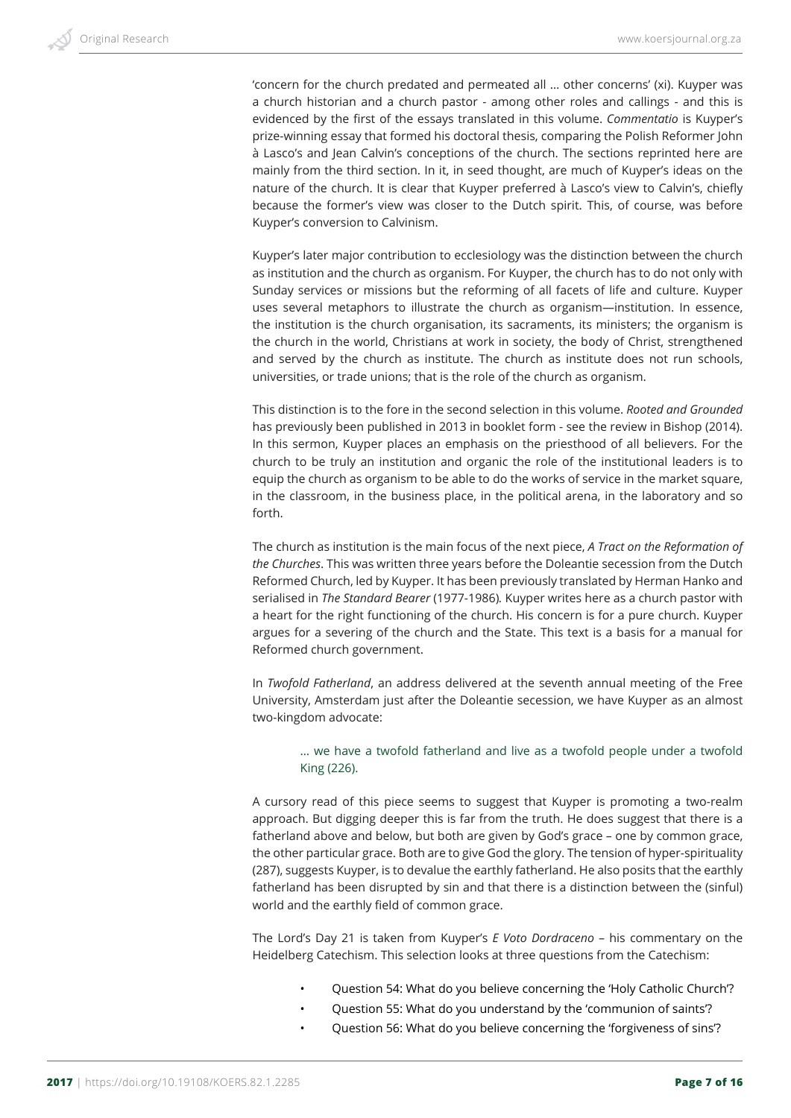'concern for the church predated and permeated all … other concerns' (xi). Kuyper was a church historian and a church pastor - among other roles and callings - and this is evidenced by the first of the essays translated in this volume. *Commentatio* is Kuyper's prize-winning essay that formed his doctoral thesis, comparing the Polish Reformer John à Lasco's and Jean Calvin's conceptions of the church. The sections reprinted here are mainly from the third section. In it, in seed thought, are much of Kuyper's ideas on the nature of the church. It is clear that Kuyper preferred à Lasco's view to Calvin's, chiefly because the former's view was closer to the Dutch spirit. This, of course, was before Kuyper's conversion to Calvinism.

Kuyper's later major contribution to ecclesiology was the distinction between the church as institution and the church as organism. For Kuyper, the church has to do not only with Sunday services or missions but the reforming of all facets of life and culture. Kuyper uses several metaphors to illustrate the church as organism—institution. In essence, the institution is the church organisation, its sacraments, its ministers; the organism is the church in the world, Christians at work in society, the body of Christ, strengthened and served by the church as institute. The church as institute does not run schools, universities, or trade unions; that is the role of the church as organism.

This distinction is to the fore in the second selection in this volume. *Rooted and Grounded* has previously been published in 2013 in booklet form - see the review in Bishop (2014). In this sermon, Kuyper places an emphasis on the priesthood of all believers. For the church to be truly an institution and organic the role of the institutional leaders is to equip the church as organism to be able to do the works of service in the market square, in the classroom, in the business place, in the political arena, in the laboratory and so forth.

The church as institution is the main focus of the next piece, *A Tract on the Reformation of the Churches*. This was written three years before the Doleantie secession from the Dutch Reformed Church, led by Kuyper. It has been previously translated by Herman Hanko and serialised in *The Standard Bearer* (1977-1986)*.* Kuyper writes here as a church pastor with a heart for the right functioning of the church. His concern is for a pure church. Kuyper argues for a severing of the church and the State. This text is a basis for a manual for Reformed church government.

In *Twofold Fatherland*, an address delivered at the seventh annual meeting of the Free University, Amsterdam just after the Doleantie secession, we have Kuyper as an almost two-kingdom advocate:

#### … we have a twofold fatherland and live as a twofold people under a twofold King (226).

A cursory read of this piece seems to suggest that Kuyper is promoting a two-realm approach. But digging deeper this is far from the truth. He does suggest that there is a fatherland above and below, but both are given by God's grace – one by common grace, the other particular grace. Both are to give God the glory. The tension of hyper-spirituality (287), suggests Kuyper, is to devalue the earthly fatherland. He also posits that the earthly fatherland has been disrupted by sin and that there is a distinction between the (sinful) world and the earthly field of common grace.

The Lord's Day 21 is taken from Kuyper's *E Voto Dordraceno* – his commentary on the Heidelberg Catechism. This selection looks at three questions from the Catechism:

- Question 54: What do you believe concerning the 'Holy Catholic Church'?
- Question 55: What do you understand by the 'communion of saints'?
- Question 56: What do you believe concerning the 'forgiveness of sins'?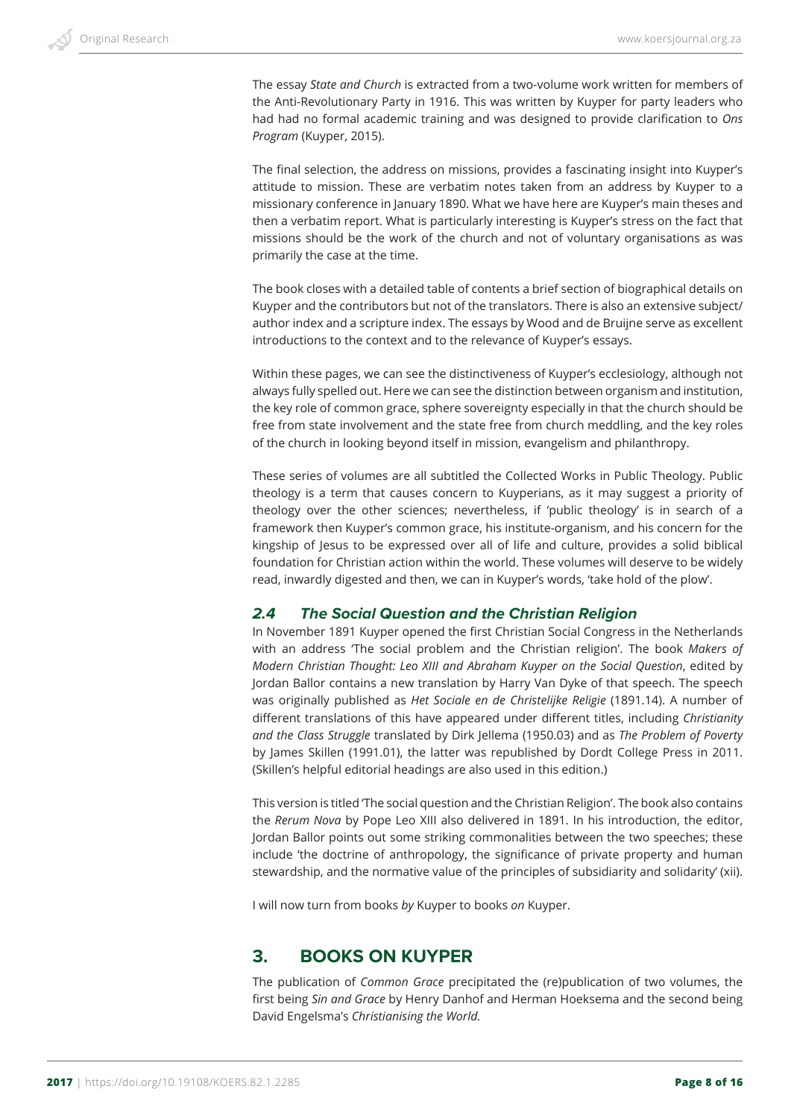The essay *State and Church* is extracted from a two-volume work written for members of the Anti-Revolutionary Party in 1916. This was written by Kuyper for party leaders who had had no formal academic training and was designed to provide clarification to *Ons Program* (Kuyper, 2015).

The final selection, the address on missions, provides a fascinating insight into Kuyper's attitude to mission. These are verbatim notes taken from an address by Kuyper to a missionary conference in January 1890. What we have here are Kuyper's main theses and then a verbatim report. What is particularly interesting is Kuyper's stress on the fact that missions should be the work of the church and not of voluntary organisations as was primarily the case at the time.

The book closes with a detailed table of contents a brief section of biographical details on Kuyper and the contributors but not of the translators. There is also an extensive subject/ author index and a scripture index. The essays by Wood and de Bruijne serve as excellent introductions to the context and to the relevance of Kuyper's essays.

Within these pages, we can see the distinctiveness of Kuyper's ecclesiology, although not always fully spelled out. Here we can see the distinction between organism and institution, the key role of common grace, sphere sovereignty especially in that the church should be free from state involvement and the state free from church meddling, and the key roles of the church in looking beyond itself in mission, evangelism and philanthropy.

These series of volumes are all subtitled the Collected Works in Public Theology. Public theology is a term that causes concern to Kuyperians, as it may suggest a priority of theology over the other sciences; nevertheless, if 'public theology' is in search of a framework then Kuyper's common grace, his institute-organism, and his concern for the kingship of Jesus to be expressed over all of life and culture, provides a solid biblical foundation for Christian action within the world. These volumes will deserve to be widely read, inwardly digested and then, we can in Kuyper's words, 'take hold of the plow'.

#### *2.4 The Social Question and the Christian Religion*

In November 1891 Kuyper opened the first Christian Social Congress in the Netherlands with an address 'The social problem and the Christian religion'. The book *Makers of Modern Christian Thought: Leo XIII and Abraham Kuyper on the Social Question*, edited by Jordan Ballor contains a new translation by Harry Van Dyke of that speech. The speech was originally published as *Het Sociale en de Christelijke Religie* (1891.14). A number of different translations of this have appeared under different titles, including *Christianity and the Class Struggle* translated by Dirk Jellema (1950.03) and as *The Problem of Poverty* by James Skillen (1991.01), the latter was republished by Dordt College Press in 2011. (Skillen's helpful editorial headings are also used in this edition.)

This version is titled 'The social question and the Christian Religion'. The book also contains the *Rerum Nova* by Pope Leo XIII also delivered in 1891. In his introduction, the editor, Jordan Ballor points out some striking commonalities between the two speeches; these include 'the doctrine of anthropology, the significance of private property and human stewardship, and the normative value of the principles of subsidiarity and solidarity' (xii).

I will now turn from books *by* Kuyper to books *on* Kuyper.

# **3. BOOKS ON KUYPER**

The publication of *Common Grace* precipitated the (re)publication of two volumes, the first being *Sin and Grace* by Henry Danhof and Herman Hoeksema and the second being David Engelsma's *Christianising the World.*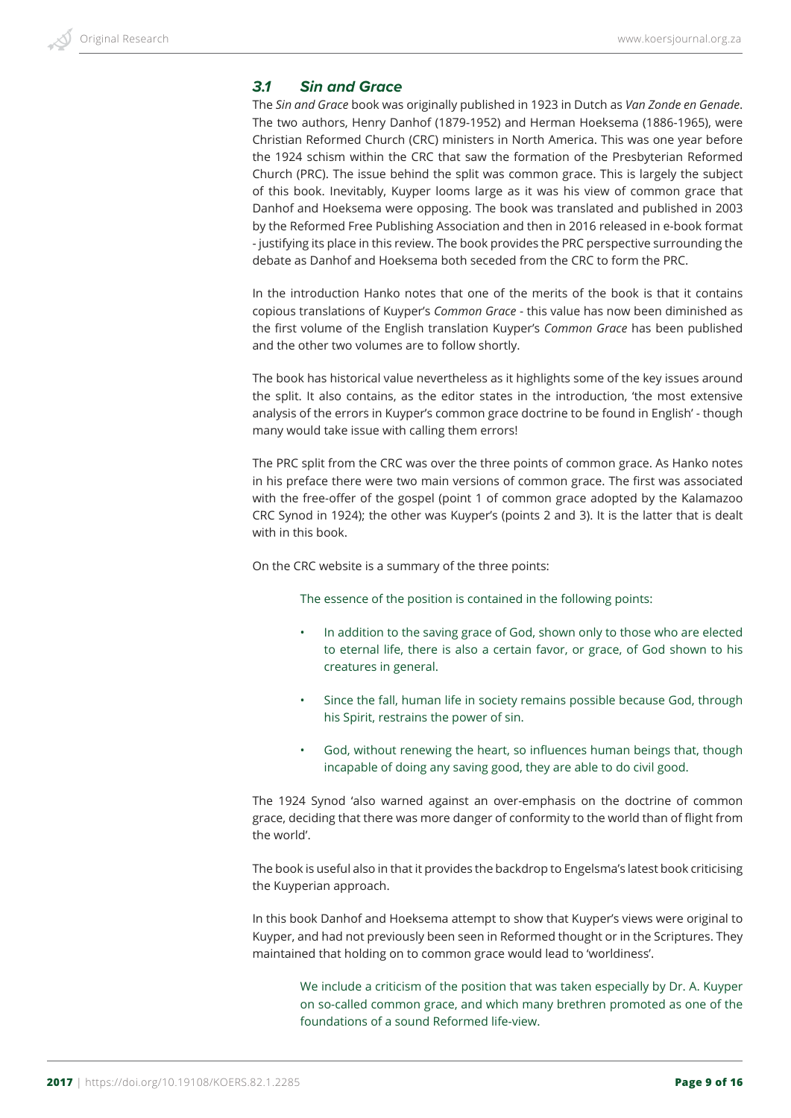#### *3.1 Sin and Grace*

The *Sin and Grace* book was originally published in 1923 in Dutch as *Van Zonde en Genade*. The two authors, Henry Danhof (1879-1952) and Herman Hoeksema (1886-1965), were Christian Reformed Church (CRC) ministers in North America. This was one year before the 1924 schism within the CRC that saw the formation of the Presbyterian Reformed Church (PRC). The issue behind the split was common grace. This is largely the subject of this book. Inevitably, Kuyper looms large as it was his view of common grace that Danhof and Hoeksema were opposing. The book was translated and published in 2003 by the Reformed Free Publishing Association and then in 2016 released in e-book format - justifying its place in this review. The book provides the PRC perspective surrounding the debate as Danhof and Hoeksema both seceded from the CRC to form the PRC.

In the introduction Hanko notes that one of the merits of the book is that it contains copious translations of Kuyper's *Common Grace* - this value has now been diminished as the first volume of the English translation Kuyper's *Common Grace* has been published and the other two volumes are to follow shortly.

The book has historical value nevertheless as it highlights some of the key issues around the split. It also contains, as the editor states in the introduction, 'the most extensive analysis of the errors in Kuyper's common grace doctrine to be found in English' - though many would take issue with calling them errors!

The PRC split from the CRC was over the three points of common grace. As Hanko notes in his preface there were two main versions of common grace. The first was associated with the free-offer of the gospel (point 1 of common grace adopted by the Kalamazoo CRC Synod in 1924); the other was Kuyper's (points 2 and 3). It is the latter that is dealt with in this book.

On the CRC website is a summary of the three points:

The essence of the position is contained in the following points:

- In addition to the saving grace of God, shown only to those who are elected to eternal life, there is also a certain favor, or grace, of God shown to his creatures in general.
- Since the fall, human life in society remains possible because God, through his Spirit, restrains the power of sin.
- God, without renewing the heart, so influences human beings that, though incapable of doing any saving good, they are able to do civil good.

The 1924 Synod 'also warned against an over-emphasis on the doctrine of common grace, deciding that there was more danger of conformity to the world than of flight from the world'.

The book is useful also in that it provides the backdrop to Engelsma's latest book criticising the Kuyperian approach.

In this book Danhof and Hoeksema attempt to show that Kuyper's views were original to Kuyper, and had not previously been seen in Reformed thought or in the Scriptures. They maintained that holding on to common grace would lead to 'worldiness'.

We include a criticism of the position that was taken especially by Dr. A. Kuyper on so-called common grace, and which many brethren promoted as one of the foundations of a sound Reformed life-view.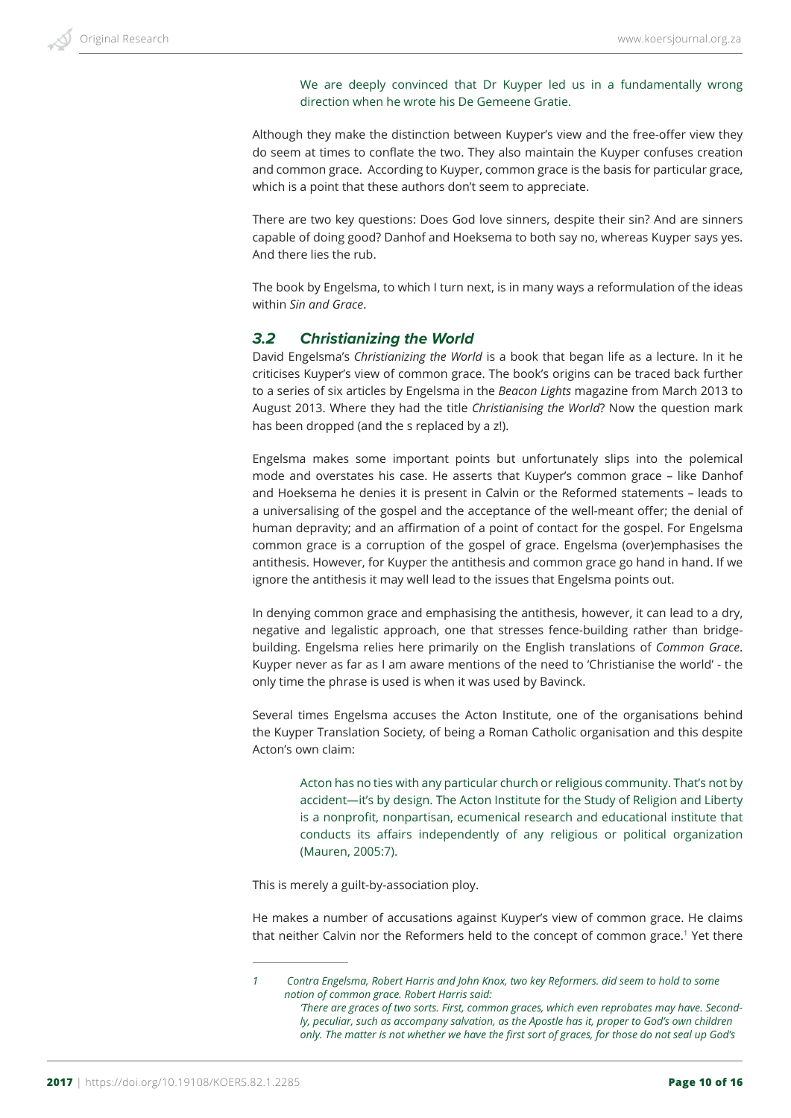We are deeply convinced that Dr Kuyper led us in a fundamentally wrong direction when he wrote his De Gemeene Gratie.

Although they make the distinction between Kuyper's view and the free-offer view they do seem at times to conflate the two. They also maintain the Kuyper confuses creation and common grace. According to Kuyper, common grace is the basis for particular grace, which is a point that these authors don't seem to appreciate.

There are two key questions: Does God love sinners, despite their sin? And are sinners capable of doing good? Danhof and Hoeksema to both say no, whereas Kuyper says yes. And there lies the rub.

The book by Engelsma, to which I turn next, is in many ways a reformulation of the ideas within *Sin and Grace*.

#### *3.2 Christianizing the World*

David Engelsma's *Christianizing the World* is a book that began life as a lecture. In it he criticises Kuyper's view of common grace. The book's origins can be traced back further to a series of six articles by Engelsma in the *Beacon Lights* magazine from March 2013 to August 2013. Where they had the title *Christianising the World*? Now the question mark has been dropped (and the s replaced by a z!).

Engelsma makes some important points but unfortunately slips into the polemical mode and overstates his case. He asserts that Kuyper's common grace – like Danhof and Hoeksema he denies it is present in Calvin or the Reformed statements – leads to a universalising of the gospel and the acceptance of the well-meant offer; the denial of human depravity; and an affirmation of a point of contact for the gospel. For Engelsma common grace is a corruption of the gospel of grace. Engelsma (over)emphasises the antithesis. However, for Kuyper the antithesis and common grace go hand in hand. If we ignore the antithesis it may well lead to the issues that Engelsma points out.

In denying common grace and emphasising the antithesis, however, it can lead to a dry, negative and legalistic approach, one that stresses fence-building rather than bridgebuilding. Engelsma relies here primarily on the English translations of *Common Grace*. Kuyper never as far as I am aware mentions of the need to 'Christianise the world' - the only time the phrase is used is when it was used by Bavinck.

Several times Engelsma accuses the Acton Institute, one of the organisations behind the Kuyper Translation Society, of being a Roman Catholic organisation and this despite Acton's own claim:

Acton has no ties with any particular church or religious community. That's not by accident—it's by design. The Acton Institute for the Study of Religion and Liberty is a nonprofit, nonpartisan, ecumenical research and educational institute that conducts its affairs independently of any religious or political organization (Mauren, 2005:7).

This is merely a guilt-by-association ploy.

He makes a number of accusations against Kuyper's view of common grace. He claims that neither Calvin nor the Reformers held to the concept of common grace.<sup>1</sup> Yet there

*<sup>1</sup> Contra Engelsma, Robert Harris and John Knox, two key Reformers. did seem to hold to some notion of common grace. Robert Harris said:*

*<sup>&#</sup>x27;There are graces of two sorts. First, common graces, which even reprobates may have. Secondly, peculiar, such as accompany salvation, as the Apostle has it, proper to God's own children only. The matter is not whether we have the first sort of graces, for those do not seal up God's*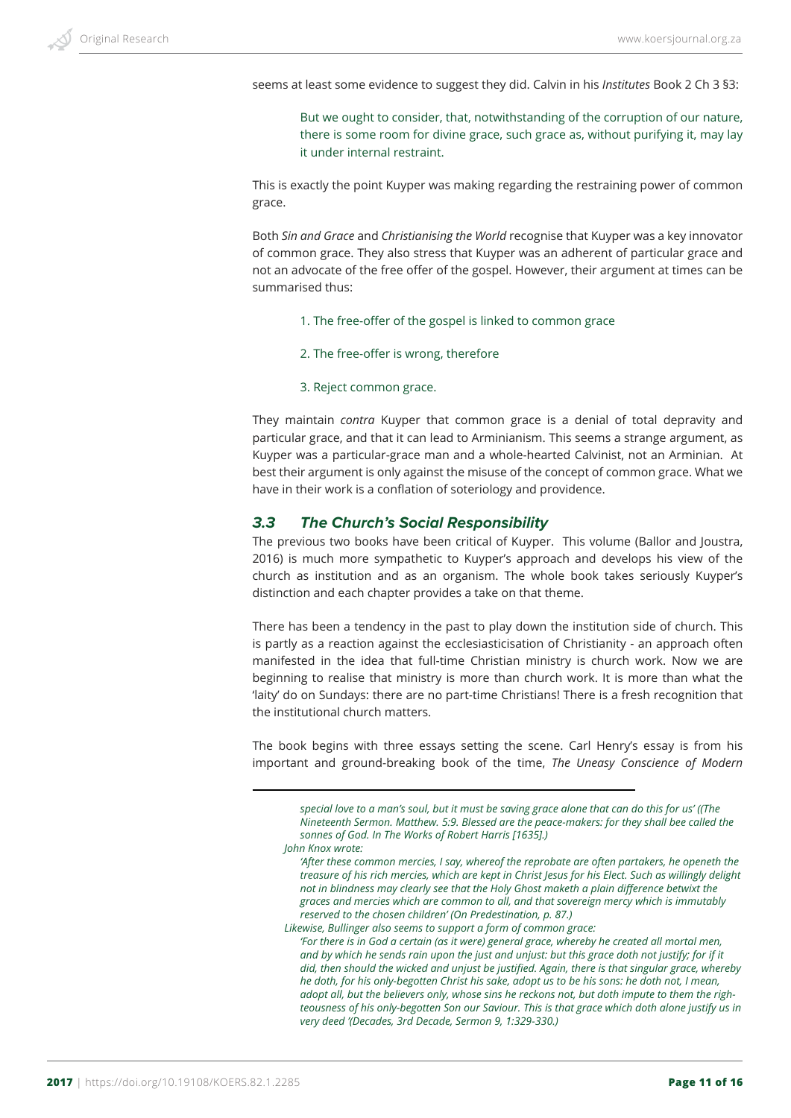seems at least some evidence to suggest they did. Calvin in his *Institutes* Book 2 Ch 3 §3:

But we ought to consider, that, notwithstanding of the corruption of our nature, there is some room for divine grace, such grace as, without purifying it, may lay it under internal restraint.

This is exactly the point Kuyper was making regarding the restraining power of common grace.

Both *Sin and Grace* and *Christianising the World* recognise that Kuyper was a key innovator of common grace. They also stress that Kuyper was an adherent of particular grace and not an advocate of the free offer of the gospel. However, their argument at times can be summarised thus:

- 1. The free-offer of the gospel is linked to common grace
- 2. The free-offer is wrong, therefore
- 3. Reject common grace.

They maintain *contra* Kuyper that common grace is a denial of total depravity and particular grace, and that it can lead to Arminianism. This seems a strange argument, as Kuyper was a particular-grace man and a whole-hearted Calvinist, not an Arminian. At best their argument is only against the misuse of the concept of common grace. What we have in their work is a conflation of soteriology and providence.

#### *3.3 The Church's Social Responsibility*

The previous two books have been critical of Kuyper. This volume (Ballor and Joustra, 2016) is much more sympathetic to Kuyper's approach and develops his view of the church as institution and as an organism. The whole book takes seriously Kuyper's distinction and each chapter provides a take on that theme.

There has been a tendency in the past to play down the institution side of church. This is partly as a reaction against the ecclesiasticisation of Christianity - an approach often manifested in the idea that full-time Christian ministry is church work. Now we are beginning to realise that ministry is more than church work. It is more than what the 'laity' do on Sundays: there are no part-time Christians! There is a fresh recognition that the institutional church matters.

The book begins with three essays setting the scene. Carl Henry's essay is from his important and ground-breaking book of the time, *The Uneasy Conscience of Modern* 

*special love to a man's soul, but it must be saving grace alone that can do this for us' ((The Nineteenth Sermon. Matthew. 5:9. Blessed are the peace-makers: for they shall bee called the sonnes of God. In The Works of Robert Harris [1635].) John Knox wrote:*

*Likewise, Bullinger also seems to support a form of common grace:*

*<sup>&#</sup>x27;After these common mercies, I say, whereof the reprobate are often partakers, he openeth the treasure of his rich mercies, which are kept in Christ Jesus for his Elect. Such as willingly delight not in blindness may clearly see that the Holy Ghost maketh a plain difference betwixt the graces and mercies which are common to all, and that sovereign mercy which is immutably reserved to the chosen children' (On Predestination, p. 87.)*

*<sup>&#</sup>x27;For there is in God a certain (as it were) general grace, whereby he created all mortal men, and by which he sends rain upon the just and unjust: but this grace doth not justify; for if it did, then should the wicked and unjust be justified. Again, there is that singular grace, whereby he doth, for his only-begotten Christ his sake, adopt us to be his sons: he doth not, I mean, adopt all, but the believers only, whose sins he reckons not, but doth impute to them the righteousness of his only-begotten Son our Saviour. This is that grace which doth alone justify us in very deed '(Decades, 3rd Decade, Sermon 9, 1:329-330.)*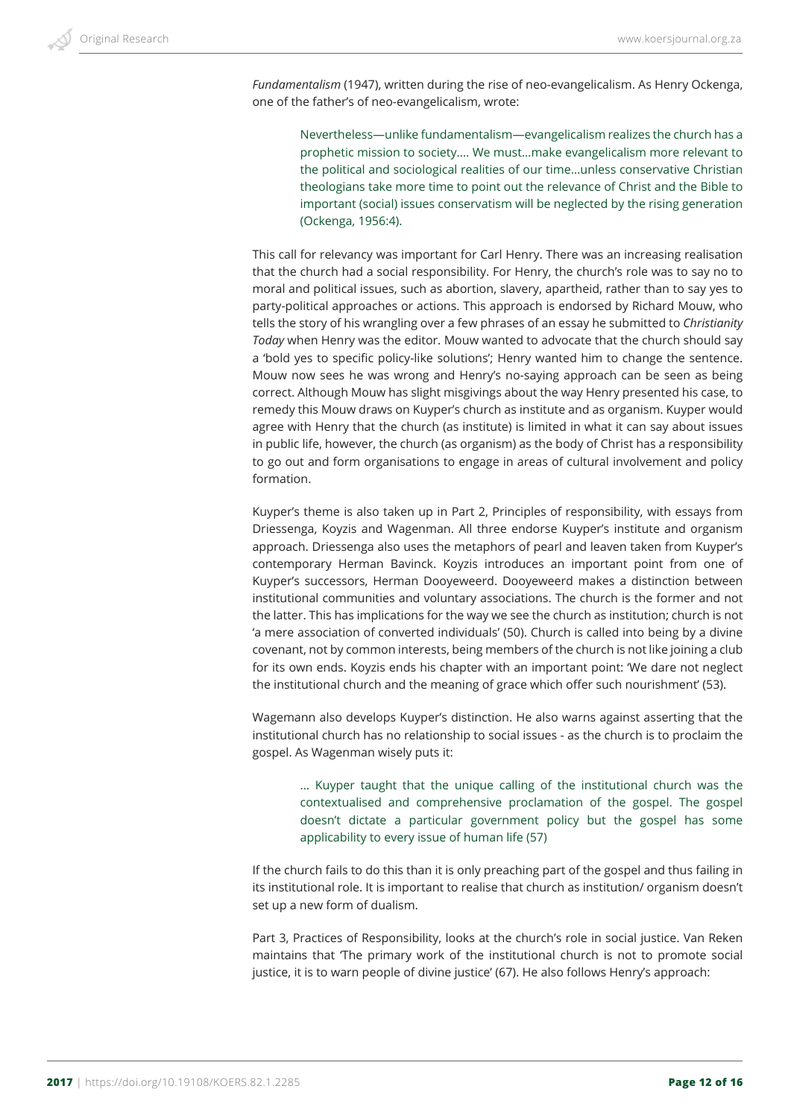*Fundamentalism* (1947), written during the rise of neo-evangelicalism. As Henry Ockenga, one of the father's of neo-evangelicalism, wrote:

Nevertheless—unlike fundamentalism—evangelicalism realizes the church has a prophetic mission to society…. We must…make evangelicalism more relevant to the political and sociological realities of our time…unless conservative Christian theologians take more time to point out the relevance of Christ and the Bible to important (social) issues conservatism will be neglected by the rising generation (Ockenga, 1956:4).

This call for relevancy was important for Carl Henry. There was an increasing realisation that the church had a social responsibility. For Henry, the church's role was to say no to moral and political issues, such as abortion, slavery, apartheid, rather than to say yes to party-political approaches or actions. This approach is endorsed by Richard Mouw, who tells the story of his wrangling over a few phrases of an essay he submitted to *Christianity Today* when Henry was the editor. Mouw wanted to advocate that the church should say a 'bold yes to specific policy-like solutions'; Henry wanted him to change the sentence. Mouw now sees he was wrong and Henry's no-saying approach can be seen as being correct. Although Mouw has slight misgivings about the way Henry presented his case, to remedy this Mouw draws on Kuyper's church as institute and as organism. Kuyper would agree with Henry that the church (as institute) is limited in what it can say about issues in public life, however, the church (as organism) as the body of Christ has a responsibility to go out and form organisations to engage in areas of cultural involvement and policy formation.

Kuyper's theme is also taken up in Part 2, Principles of responsibility, with essays from Driessenga, Koyzis and Wagenman. All three endorse Kuyper's institute and organism approach. Driessenga also uses the metaphors of pearl and leaven taken from Kuyper's contemporary Herman Bavinck. Koyzis introduces an important point from one of Kuyper's successors, Herman Dooyeweerd. Dooyeweerd makes a distinction between institutional communities and voluntary associations. The church is the former and not the latter. This has implications for the way we see the church as institution; church is not 'a mere association of converted individuals' (50). Church is called into being by a divine covenant, not by common interests, being members of the church is not like joining a club for its own ends. Koyzis ends his chapter with an important point: 'We dare not neglect the institutional church and the meaning of grace which offer such nourishment' (53).

Wagemann also develops Kuyper's distinction. He also warns against asserting that the institutional church has no relationship to social issues - as the church is to proclaim the gospel. As Wagenman wisely puts it:

… Kuyper taught that the unique calling of the institutional church was the contextualised and comprehensive proclamation of the gospel. The gospel doesn't dictate a particular government policy but the gospel has some applicability to every issue of human life (57)

If the church fails to do this than it is only preaching part of the gospel and thus failing in its institutional role. It is important to realise that church as institution/ organism doesn't set up a new form of dualism.

Part 3, Practices of Responsibility, looks at the church's role in social justice. Van Reken maintains that 'The primary work of the institutional church is not to promote social justice, it is to warn people of divine justice' (67). He also follows Henry's approach: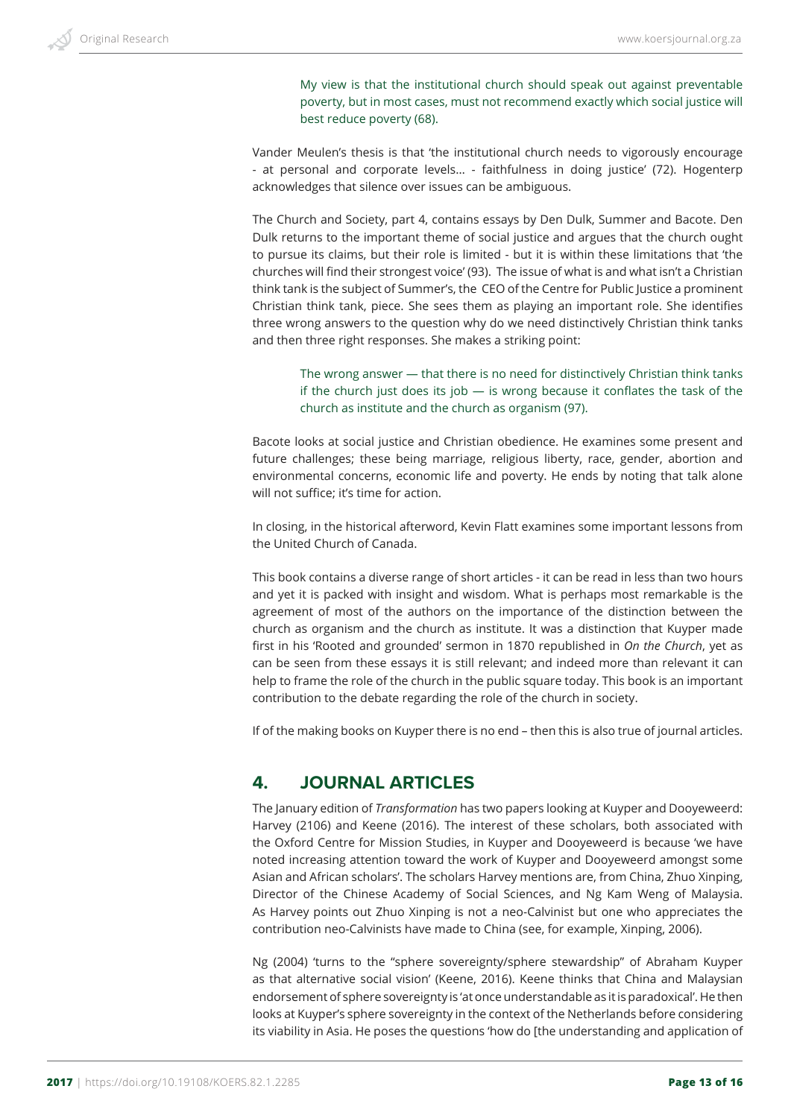My view is that the institutional church should speak out against preventable poverty, but in most cases, must not recommend exactly which social justice will best reduce poverty (68).

Vander Meulen's thesis is that 'the institutional church needs to vigorously encourage - at personal and corporate levels… - faithfulness in doing justice' (72). Hogenterp acknowledges that silence over issues can be ambiguous.

The Church and Society, part 4, contains essays by Den Dulk, Summer and Bacote. Den Dulk returns to the important theme of social justice and argues that the church ought to pursue its claims, but their role is limited - but it is within these limitations that 'the churches will find their strongest voice' (93). The issue of what is and what isn't a Christian think tank is the subject of Summer's, the CEO of the Centre for Public Justice a prominent Christian think tank, piece. She sees them as playing an important role. She identifies three wrong answers to the question why do we need distinctively Christian think tanks and then three right responses. She makes a striking point:

The wrong answer — that there is no need for distinctively Christian think tanks if the church just does its job  $-$  is wrong because it conflates the task of the church as institute and the church as organism (97).

Bacote looks at social justice and Christian obedience. He examines some present and future challenges; these being marriage, religious liberty, race, gender, abortion and environmental concerns, economic life and poverty. He ends by noting that talk alone will not suffice; it's time for action.

In closing, in the historical afterword, Kevin Flatt examines some important lessons from the United Church of Canada.

This book contains a diverse range of short articles - it can be read in less than two hours and yet it is packed with insight and wisdom. What is perhaps most remarkable is the agreement of most of the authors on the importance of the distinction between the church as organism and the church as institute. It was a distinction that Kuyper made first in his 'Rooted and grounded' sermon in 1870 republished in *On the Church*, yet as can be seen from these essays it is still relevant; and indeed more than relevant it can help to frame the role of the church in the public square today. This book is an important contribution to the debate regarding the role of the church in society.

If of the making books on Kuyper there is no end – then this is also true of journal articles.

# **4. JOURNAL ARTICLES**

The January edition of *Transformation* has two papers looking at Kuyper and Dooyeweerd: Harvey (2106) and Keene (2016). The interest of these scholars, both associated with the Oxford Centre for Mission Studies, in Kuyper and Dooyeweerd is because 'we have noted increasing attention toward the work of Kuyper and Dooyeweerd amongst some Asian and African scholars'. The scholars Harvey mentions are, from China, Zhuo Xinping, Director of the Chinese Academy of Social Sciences, and Ng Kam Weng of Malaysia. As Harvey points out Zhuo Xinping is not a neo-Calvinist but one who appreciates the contribution neo-Calvinists have made to China (see, for example, Xinping, 2006).

Ng (2004) 'turns to the "sphere sovereignty/sphere stewardship" of Abraham Kuyper as that alternative social vision' (Keene, 2016). Keene thinks that China and Malaysian endorsement of sphere sovereignty is 'at once understandable as it is paradoxical'. He then looks at Kuyper's sphere sovereignty in the context of the Netherlands before considering its viability in Asia. He poses the questions 'how do [the understanding and application of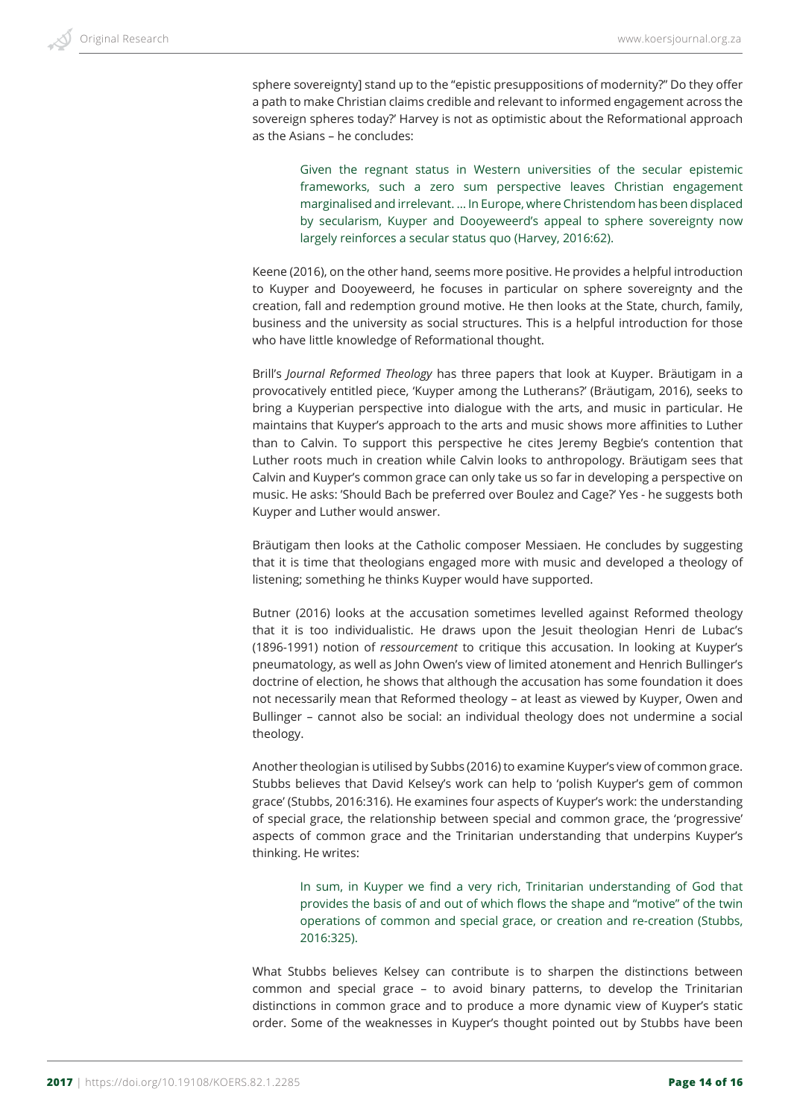sphere sovereignty] stand up to the "epistic presuppositions of modernity?" Do they offer a path to make Christian claims credible and relevant to informed engagement across the sovereign spheres today?' Harvey is not as optimistic about the Reformational approach as the Asians – he concludes:

Given the regnant status in Western universities of the secular epistemic frameworks, such a zero sum perspective leaves Christian engagement marginalised and irrelevant. … In Europe, where Christendom has been displaced by secularism, Kuyper and Dooyeweerd's appeal to sphere sovereignty now largely reinforces a secular status quo (Harvey, 2016:62).

Keene (2016), on the other hand, seems more positive. He provides a helpful introduction to Kuyper and Dooyeweerd, he focuses in particular on sphere sovereignty and the creation, fall and redemption ground motive. He then looks at the State, church, family, business and the university as social structures. This is a helpful introduction for those who have little knowledge of Reformational thought.

Brill's *Journal Reformed Theology* has three papers that look at Kuyper. Bräutigam in a provocatively entitled piece, 'Kuyper among the Lutherans?' (Bräutigam, 2016), seeks to bring a Kuyperian perspective into dialogue with the arts, and music in particular. He maintains that Kuyper's approach to the arts and music shows more affinities to Luther than to Calvin. To support this perspective he cites Jeremy Begbie's contention that Luther roots much in creation while Calvin looks to anthropology. Bräutigam sees that Calvin and Kuyper's common grace can only take us so far in developing a perspective on music. He asks: 'Should Bach be preferred over Boulez and Cage?' Yes - he suggests both Kuyper and Luther would answer.

Bräutigam then looks at the Catholic composer Messiaen. He concludes by suggesting that it is time that theologians engaged more with music and developed a theology of listening; something he thinks Kuyper would have supported.

Butner (2016) looks at the accusation sometimes levelled against Reformed theology that it is too individualistic. He draws upon the Jesuit theologian Henri de Lubac's (1896-1991) notion of *ressourcement* to critique this accusation. In looking at Kuyper's pneumatology, as well as John Owen's view of limited atonement and Henrich Bullinger's doctrine of election, he shows that although the accusation has some foundation it does not necessarily mean that Reformed theology – at least as viewed by Kuyper, Owen and Bullinger – cannot also be social: an individual theology does not undermine a social theology.

Another theologian is utilised by Subbs (2016) to examine Kuyper's view of common grace. Stubbs believes that David Kelsey's work can help to 'polish Kuyper's gem of common grace' (Stubbs, 2016:316). He examines four aspects of Kuyper's work: the understanding of special grace, the relationship between special and common grace, the 'progressive' aspects of common grace and the Trinitarian understanding that underpins Kuyper's thinking. He writes:

In sum, in Kuyper we find a very rich, Trinitarian understanding of God that provides the basis of and out of which flows the shape and "motive" of the twin operations of common and special grace, or creation and re-creation (Stubbs, 2016:325).

What Stubbs believes Kelsey can contribute is to sharpen the distinctions between common and special grace – to avoid binary patterns, to develop the Trinitarian distinctions in common grace and to produce a more dynamic view of Kuyper's static order. Some of the weaknesses in Kuyper's thought pointed out by Stubbs have been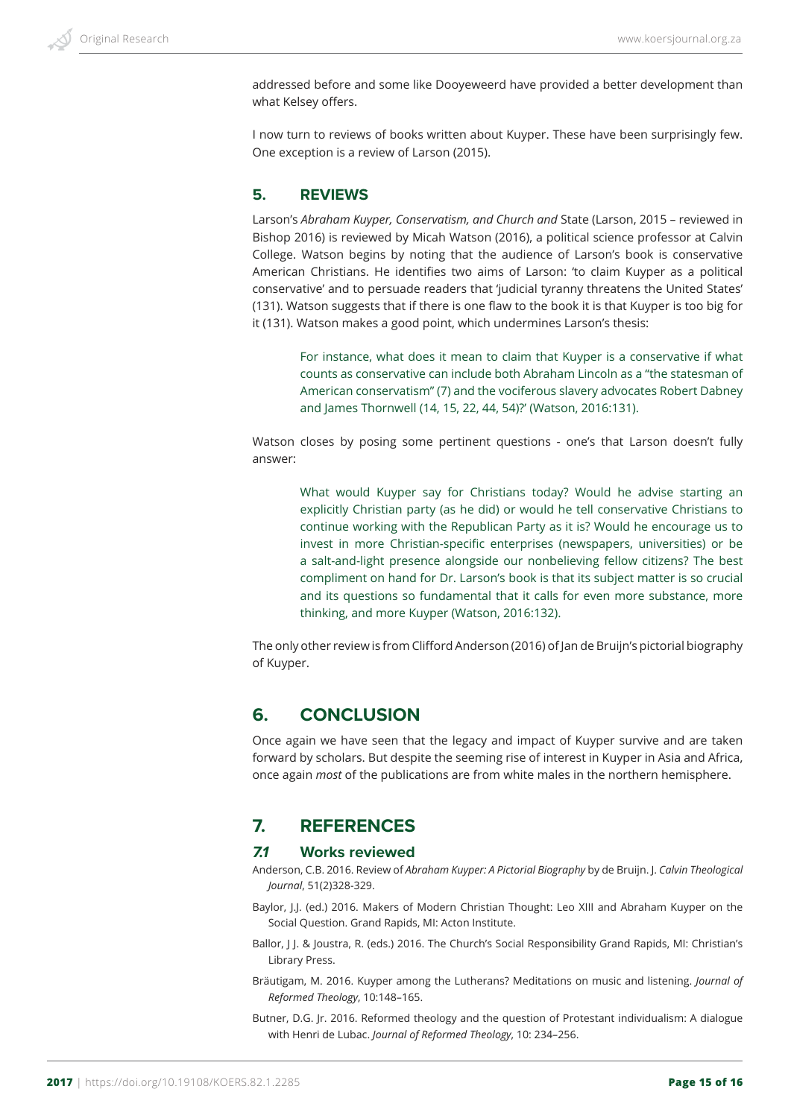addressed before and some like Dooyeweerd have provided a better development than what Kelsey offers.

I now turn to reviews of books written about Kuyper. These have been surprisingly few. One exception is a review of Larson (2015).

### **5. REVIEWS**

Larson's *Abraham Kuyper, Conservatism, and Church and* State (Larson, 2015 – reviewed in Bishop 2016) is reviewed by Micah Watson (2016), a political science professor at Calvin College. Watson begins by noting that the audience of Larson's book is conservative American Christians. He identifies two aims of Larson: 'to claim Kuyper as a political conservative' and to persuade readers that 'judicial tyranny threatens the United States' (131). Watson suggests that if there is one flaw to the book it is that Kuyper is too big for it (131). Watson makes a good point, which undermines Larson's thesis:

> For instance, what does it mean to claim that Kuyper is a conservative if what counts as conservative can include both Abraham Lincoln as a "the statesman of American conservatism" (7) and the vociferous slavery advocates Robert Dabney and James Thornwell (14, 15, 22, 44, 54)?' (Watson, 2016:131).

Watson closes by posing some pertinent questions - one's that Larson doesn't fully answer:

What would Kuyper say for Christians today? Would he advise starting an explicitly Christian party (as he did) or would he tell conservative Christians to continue working with the Republican Party as it is? Would he encourage us to invest in more Christian-specific enterprises (newspapers, universities) or be a salt-and-light presence alongside our nonbelieving fellow citizens? The best compliment on hand for Dr. Larson's book is that its subject matter is so crucial and its questions so fundamental that it calls for even more substance, more thinking, and more Kuyper (Watson, 2016:132).

The only other review is from Clifford Anderson (2016) of Jan de Bruijn's pictorial biography of Kuyper.

# **6. CONCLUSION**

Once again we have seen that the legacy and impact of Kuyper survive and are taken forward by scholars. But despite the seeming rise of interest in Kuyper in Asia and Africa, once again *most* of the publications are from white males in the northern hemisphere.

# **7. REFERENCES**

#### *7.1* **Works reviewed**

- Anderson, C.B. 2016. Review of *Abraham Kuyper: A Pictorial Biography* by de Bruijn. J. *Calvin Theological Journal*, 51(2)328-329.
- Baylor, J.J. (ed.) 2016. Makers of Modern Christian Thought: Leo XIII and Abraham Kuyper on the Social Question. Grand Rapids, MI: Acton Institute.
- Ballor, J J. & Joustra, R. (eds.) 2016. The Church's Social Responsibility Grand Rapids, MI: Christian's Library Press.
- Bräutigam, M. 2016. Kuyper among the Lutherans? Meditations on music and listening. *Journal of Reformed Theology*, 10:148–165.
- Butner, D.G. Jr. 2016. Reformed theology and the question of Protestant individualism: A dialogue with Henri de Lubac. *Journal of Reformed Theology*, 10: 234–256.